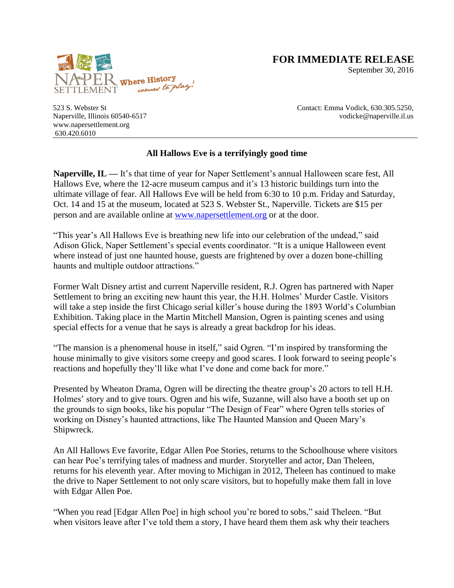

**FOR IMMEDIATE RELEASE**

September 30, 2016

523 S. Webster St Naperville, Illinois 60540-6517 [www.napersettlement.org](http://www.napersettlement.org/) 630.420.6010

Contact: Emma Vodick, 630.305.5250, vodicke@naperville.il.us

## **All Hallows Eve is a terrifyingly good time**

**Naperville, IL — It's that time of year for Naper Settlement's annual Halloween scare fest, All** Hallows Eve, where the 12-acre museum campus and it's 13 historic buildings turn into the ultimate village of fear. All Hallows Eve will be held from 6:30 to 10 p.m. Friday and Saturday, Oct. 14 and 15 at the museum, located at 523 S. Webster St., Naperville. Tickets are \$15 per person and are available online at [www.napersettlement.org](http://www.napersettlement.org/) or at the door.

"This year's All Hallows Eve is breathing new life into our celebration of the undead," said Adison Glick, Naper Settlement's special events coordinator. "It is a unique Halloween event where instead of just one haunted house, guests are frightened by over a dozen bone-chilling haunts and multiple outdoor attractions."

Former Walt Disney artist and current Naperville resident, R.J. Ogren has partnered with Naper Settlement to bring an exciting new haunt this year, the H.H. Holmes' Murder Castle. Visitors will take a step inside the first Chicago serial killer's house during the 1893 World's Columbian Exhibition. Taking place in the Martin Mitchell Mansion, Ogren is painting scenes and using special effects for a venue that he says is already a great backdrop for his ideas.

"The mansion is a phenomenal house in itself," said Ogren. "I'm inspired by transforming the house minimally to give visitors some creepy and good scares. I look forward to seeing people's reactions and hopefully they'll like what I've done and come back for more."

Presented by Wheaton Drama, Ogren will be directing the theatre group's 20 actors to tell H.H. Holmes' story and to give tours. Ogren and his wife, Suzanne, will also have a booth set up on the grounds to sign books, like his popular "The Design of Fear" where Ogren tells stories of working on Disney's haunted attractions, like The Haunted Mansion and Queen Mary's Shipwreck.

An All Hallows Eve favorite, Edgar Allen Poe Stories, returns to the Schoolhouse where visitors can hear Poe's terrifying tales of madness and murder. Storyteller and actor, Dan Theleen, returns for his eleventh year. After moving to Michigan in 2012, Theleen has continued to make the drive to Naper Settlement to not only scare visitors, but to hopefully make them fall in love with Edgar Allen Poe.

"When you read [Edgar Allen Poe] in high school you're bored to sobs," said Theleen. "But when visitors leave after I've told them a story, I have heard them them ask why their teachers